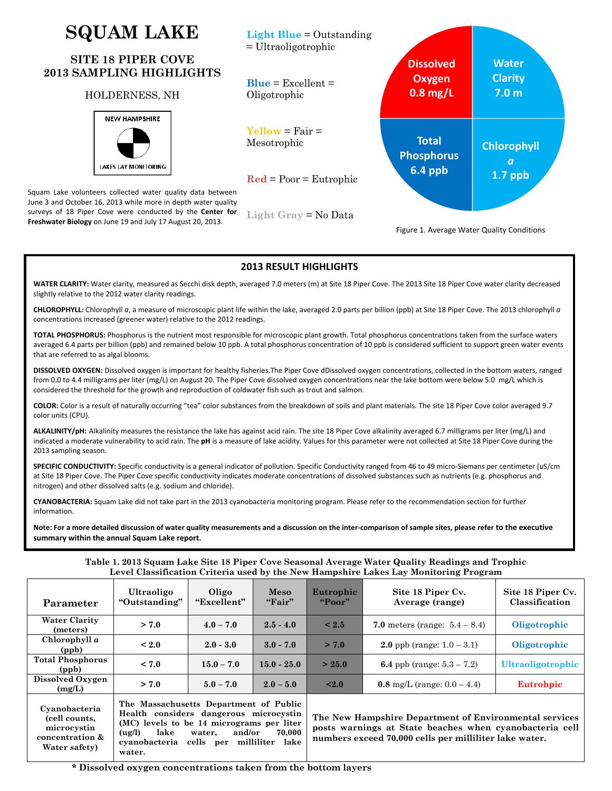# **SQUAM LAKE**

# **SITE 18 PIPER COVE 2013 SAMPLING HIGHLIGHTS**

### HOLDERNESS, NH



Squam Lake volunteers collected water quality data between June 3 and October 16, 2013 while more in depth water quality surveys of 18 Piper Cove were conducted by the **Center for Freshwater Biology** on June 19 and July 17 August 20, 2013.



**WATER CLARITY:** Water clarity, measured as Secchi disk depth, averaged 7.0 meters (m) at Site 18 Piper Cove. The 2013 Site 18 Piper Cove water clarity decreased slightly relative to the 2012 water clarity readings.

**2013 RESULT HIGHLIGHTS**

**CHLOROPHYLL:** Chlorophyll *a*, a measure of microscopic plant life within the lake, averaged 2.0 parts per billion (ppb) at Site 18 Piper Cove. The 2013 chlorophyll *a* concentrations increased (greener water) relative to the 2012 readings.

**TOTAL PHOSPHORUS:** Phosphorus is the nutrient most responsible for microscopic plant growth. Total phosphorus concentrations taken from the surface waters averaged 6.4 parts per billion (ppb) and remained below 10 ppb. A total phosphorus concentration of 10 ppb is considered sufficient to support green water events that are referred to as algal blooms.

**DISSOLVED OXYGEN:** Dissolved oxygen is important for healthy fisheries.The Piper Cove dDissolved oxygen concentrations, collected in the bottom waters, ranged from 0.0 to 4.4 milligrams per liter (mg/L) on August 20. The Piper Cove dissolved oxygen concentrations near the lake bottom were below 5.0 mg/L which is considered the threshold for the growth and reproduction of coldwater fish such as trout and salmon.

**COLOR:** Color is a result of naturally occurring "tea" color substances from the breakdown of soils and plant materials. The site 18 Piper Cove color averaged 9.7 color units (CPU).

**ALKALINITY/pH:** Alkalinity measures the resistance the lake has against acid rain. The site 18 Piper Cove alkalinity averaged 6.7 milligrams per liter (mg/L) and indicated a moderate vulnerability to acid rain. The **pH** is a measure of lake acidity. Values for this parameter were not collected at Site 18 Piper Cove during the 2013 sampling season.

**SPECIFIC CONDUCTIVITY:** Specific conductivity is a general indicator of pollution. Specific Conductivity ranged from 46 to 49 micro‐Siemans per centimeter (*u*S/cm at Site 18 Piper Cove. The Piper Cove specific conductivity indicates moderate concentrations of dissolved substances such as nutrients (e.g. phosphorus and nitrogen) and other dissolved salts (e.g. sodium and chloride).

**CYANOBACTERIA:** Squam Lake did not take part in the 2013 cyanobacteria monitoring program. Please refer to the recommendation section for further information.

Note: For a more detailed discussion of water quality measurements and a discussion on the inter-comparison of sample sites, please refer to the executive **summary within the annual Squam Lake report.**

**Table 1. 2013 Squam Lake Site 18 Piper Cove Seasonal Average Water Quality Readings and Trophic Level Classification Criteria used by the New Hampshire Lakes Lay Monitoring Program** 

| Parameter                                                        | Ultraoligo<br>"Outstanding"                                                                                                                                                                                              | Oligo<br>"Excellent" | Meso<br>"Fair" | Eutrophic<br>"Poor"                                                                                                                                                         | Site 18 Piper Cv.<br>Average (range)    | Site 18 Piper Cv.<br>Classification |
|------------------------------------------------------------------|--------------------------------------------------------------------------------------------------------------------------------------------------------------------------------------------------------------------------|----------------------|----------------|-----------------------------------------------------------------------------------------------------------------------------------------------------------------------------|-----------------------------------------|-------------------------------------|
| <b>Water Clarity</b><br>(meters)                                 | > 7.0                                                                                                                                                                                                                    | $4.0 - 7.0$          | $2.5 - 4.0$    | $\leq 2.5$                                                                                                                                                                  | <b>7.0</b> meters (range: $5.4 - 8.4$ ) | Oligotrophic                        |
| Chlorophyll $a$<br>(ppb)                                         | $\leq 2.0$                                                                                                                                                                                                               | $2.0 - 3.0$          | $3.0 - 7.0$    | > 7.0                                                                                                                                                                       | <b>2.0</b> ppb (range: $1.0 - 3.1$ )    | Oligotrophic                        |
| <b>Total Phosphorus</b><br>(ppb)                                 | < 7.0                                                                                                                                                                                                                    | $15.0 - 7.0$         | $15.0 - 25.0$  | > 25.0                                                                                                                                                                      | <b>6.4</b> ppb (range: $5.3 - 7.2$ )    | <b>Ultraoligotrophic</b>            |
| Dissolved Oxygen<br>(mg/L)                                       | > 7.0                                                                                                                                                                                                                    | $5.0 - 7.0$          | $2.0 - 5.0$    | $\leq 2.0$                                                                                                                                                                  | 0.8 mg/L (range: $0.0 - 4.4$ )          | Eutrohpic                           |
| Cyanobacteria<br>(cell counts,<br>microcystin<br>concentration & | The Massachusetts Department of Public<br>Health considers dangerous microcystin<br>(MC) levels to be 14 micrograms per liter<br>lake<br>and/or<br>70.000<br>(ug/l)<br>water.<br>evanohaetaria cella non millilitar laka |                      |                | The New Hampshire Department of Environmental services<br>posts warnings at State beaches when cyanobacteria cell<br>numbers exceed 70,000 cells per milliliter lake water. |                                         |                                     |

**cyanobacteria cells per milliliter lake** 

**Water safety)** 

**water.**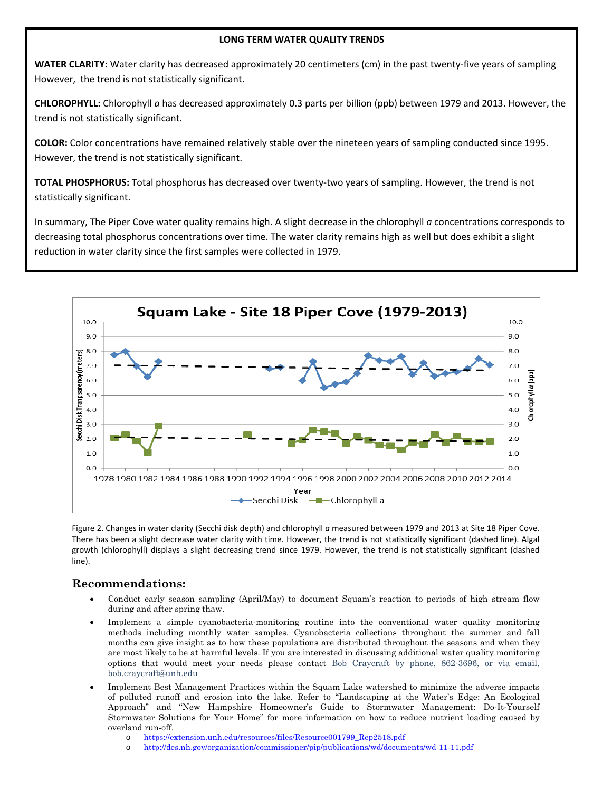#### **LONG TERM WATER QUALITY TRENDS**

**WATER CLARITY:** Water clarity has decreased approximately 20 centimeters (cm) in the past twenty‐five years of sampling However, the trend is not statistically significant.

**CHLOROPHYLL:** Chlorophyll *a* has decreased approximately 0.3 parts per billion (ppb) between 1979 and 2013. However, the trend is not statistically significant.

**COLOR:** Color concentrations have remained relatively stable over the nineteen years of sampling conducted since 1995. However, the trend is not statistically significant.

**TOTAL PHOSPHORUS:** Total phosphorus has decreased over twenty‐two years of sampling. However, the trend is not statistically significant.

In summary, The Piper Cove water quality remains high. A slight decrease in the chlorophyll *a* concentrations corresponds to decreasing total phosphorus concentrations over time. The water clarity remains high as well but does exhibit a slight reduction in water clarity since the first samples were collected in 1979.



Figure 2. Changes in water clarity (Secchi disk depth) and chlorophyll *a* measured between 1979 and 2013 at Site 18 Piper Cove. There has been a slight decrease water clarity with time. However, the trend is not statistically significant (dashed line). Algal growth (chlorophyll) displays a slight decreasing trend since 1979. However, the trend is not statistically significant (dashed line).

## **Recommendations:**

- Conduct early season sampling (April/May) to document Squam's reaction to periods of high stream flow during and after spring thaw.
- Implement a simple cyanobacteria-monitoring routine into the conventional water quality monitoring methods including monthly water samples. Cyanobacteria collections throughout the summer and fall months can give insight as to how these populations are distributed throughout the seasons and when they are most likely to be at harmful levels. If you are interested in discussing additional water quality monitoring options that would meet your needs please contact Bob Craycraft by phone, 862-3696, or via email, bob.craycraft@unh.edu
- Implement Best Management Practices within the Squam Lake watershed to minimize the adverse impacts of polluted runoff and erosion into the lake. Refer to "Landscaping at the Water's Edge: An Ecological Approach" and "New Hampshire Homeowner's Guide to Stormwater Management: Do-It-Yourself Stormwater Solutions for Your Home" for more information on how to reduce nutrient loading caused by overland run-off.
	- o https://extension.unh.edu/resources/files/Resource001799\_Rep2518.pdf
	- o http://des.nh.gov/organization/commissioner/pip/publications/wd/documents/wd-11-11.pdf